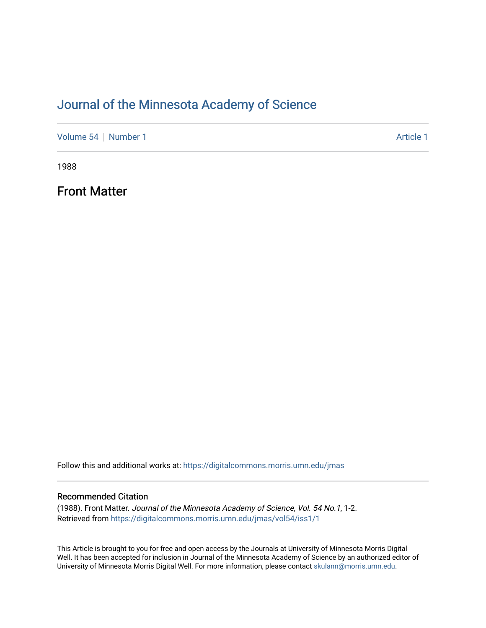## [Journal of the Minnesota Academy of Science](https://digitalcommons.morris.umn.edu/jmas)

[Volume 54](https://digitalcommons.morris.umn.edu/jmas/vol54) [Number 1](https://digitalcommons.morris.umn.edu/jmas/vol54/iss1) Article 1

1988

Front Matter

Follow this and additional works at: [https://digitalcommons.morris.umn.edu/jmas](https://digitalcommons.morris.umn.edu/jmas?utm_source=digitalcommons.morris.umn.edu%2Fjmas%2Fvol54%2Fiss1%2F1&utm_medium=PDF&utm_campaign=PDFCoverPages) 

#### Recommended Citation

(1988). Front Matter. Journal of the Minnesota Academy of Science, Vol. 54 No.1, 1-2. Retrieved from [https://digitalcommons.morris.umn.edu/jmas/vol54/iss1/1](https://digitalcommons.morris.umn.edu/jmas/vol54/iss1/1?utm_source=digitalcommons.morris.umn.edu%2Fjmas%2Fvol54%2Fiss1%2F1&utm_medium=PDF&utm_campaign=PDFCoverPages)

This Article is brought to you for free and open access by the Journals at University of Minnesota Morris Digital Well. It has been accepted for inclusion in Journal of the Minnesota Academy of Science by an authorized editor of University of Minnesota Morris Digital Well. For more information, please contact [skulann@morris.umn.edu](mailto:skulann@morris.umn.edu).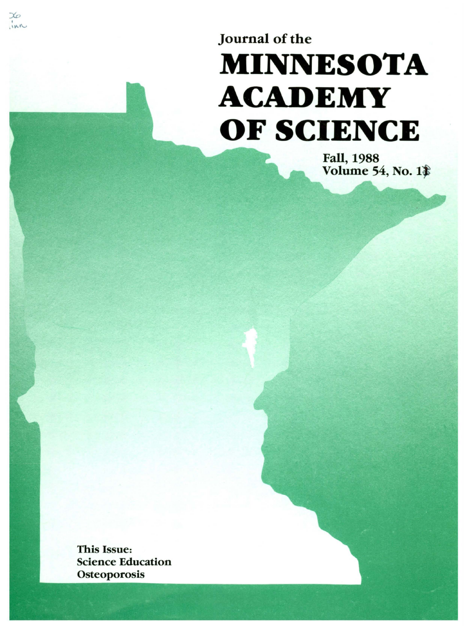# Journal of the **MINNESOTA ACADEMY OF SCIENCE**

Fall, 1988 Volume 54, No. 1

This Issue: Science Education **Osteoporosis** 

 $inv$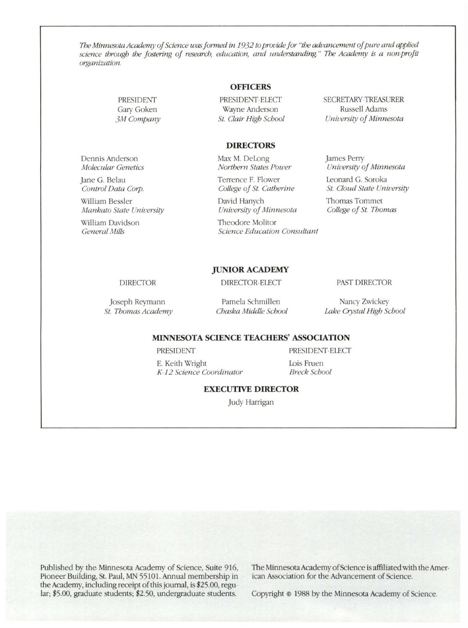*The Minnesota Academy of Science* was *f ormed in 1932 to provide for "the advancement of pure and applied science through the fostering of research, education, and understanding." The Academy is a non-profit organization.* 

#### **OFFICERS**

PRESIDENT-ELECT Wayne Anderson *St. Clair High School*  SECRETARY-TREASURER Russell Adams *University of Minnesota* 

#### **DIRECTORS**

Max M. DeLong *Northern States Power* 

Terrence F. Flower *College of St. Catherine* 

David Hanych *University of Minnesota* 

Theodore Molitor *Science Education Consultant*  James Perry *University of Minnesota* 

Leonard G. Soroka *St. Cloud State University* 

Thomas Tommet *College of St. Thomas* 

**JUNIOR ACADEMY** 

#### DIRECTOR

PRESIDENT Gary Goken *3M Company* 

Dennis Anderson *Molecular Genetics*  Jane G. Belau *Control Data Corp.*  William Bessler

William Davidson *General Mills* 

*Mankato State University* 

Joseph Reymann *St. Thomas Academy* 

Pamela Schmillen *Chaska Middle School* 

DIRECTOR-ELECT

Nancy Zwickey *Lake Crystal High School* 

PAST DIRECTOR

#### **MINNESOTA SCIENCE TEACHERS' ASSOCIATION**

PRESIDENT

PRESIDENT-ELECT

E. Keith Wright *K 12 Science Coordinator*  Lois Fruen *Breck School* 

#### **EXECUTIVE DIRECTOR**

Judy Harrigan

Published by the Minnesota Academy of Science, Suite 916, Pioneer Building, St. Paul, MN 55101. Annual membership in the Academy, including receipt of this journal, is \$25.00, regular; \$5.00, graduate students; \$2.50, undergraduate students.

The Minnesota Academy of Science is affiliated with the American Association for the Advancement of Science.

Copyright © 1988 by the Minnesota Academy of Science.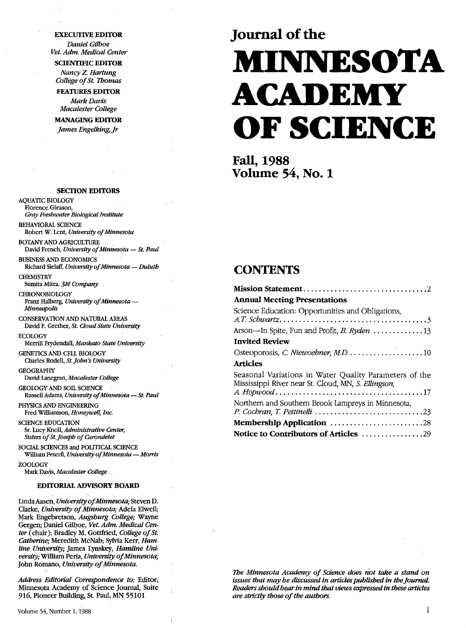### **EXECUTIVE EDITOR**

*Daniel Gilboe Vet. Adm. Medical Center* 

**SCIENTIFIC EDITOR** *Nancy* Z. *Hartung College of St. Thomas* 

**FEATURES EDITOR**  *Mark Davis Macalester College* 

**MANAGING EDITOR**  *James Engelking, Jr* 

**SECTION EDITORS** 

AQUATIC BIOLOGY Florence Gleason, *Gray Freshwater Biological Institute*  BEHAVIORAL SCIENCE

Robert W. Lent, *University of Minnesota* 

BOTANY AND AGRICULTURE David French, *University of Minnesota* - *St. Paul* 

BUSINESS AND ECONOMICS Richard Sielaff, *University of Minnesota* - *Duluth* 

**CHEMISTRY** Sumita Mitra, *3M Company* 

**CHRONOBIOLOGY** Franz Halberg, *University of Minnesota* -*Minneapolis* 

CONSERVATION AND NATURAL AREAS David F. Grether, *St. Cloud State University* 

**ECOLOGY** Merrill Frydendall, *Mankato State University* 

GENETICS AND CELL BIOLOGY Charles Rodell, *St.John's University* 

**GEOGRAPHY** David Lanegran, *Macalester College* 

GEOLOGY AND SOIL SCIENCE Russell Adams, *University of Minnesota* - *St. Paul* 

PHYSICS AND ENGINEERING Fred Williamson, *Honeywell, Inc.* 

SCIENCE EDUCATION Sr. Lucy Knoll, *Administrative Center,*  Sisters of St. Joseph of Carondelet

SOCIAL SCIENCES and POUTICAL SCIENCE William Peterfi, *University of Minnesota* - *Morris* ZOOLOGY

Mark Davis, *Macalester College* 

#### **EDITORIAL ADVISORY BOARD**

Linda Aasen, *Universlty of Minnesota;* Steven D. Clarke, *University of Minnesota;* Adela Elwell; Mark Engebretson, *Augsburg College;* Wayne Gergen; Daniel Gilboe, *Vet. Adm. Medical Center* (chair); Bradley M. Gottfried, *College of St. Catherine;* Meredith McNab; Sylvia Kerr, *Hamline University;* James Lynskey, *Hamline University;* William Peria, *University of Minnesota;*  John Romano, *University of.Minnesota.* 

*Address Editorial Correspondence to:* Editor, Minnesota Academy of Science Journal, Suite 916, Pioneer Building, St. Paul, MN 55101

Volume 54, Number 1, 1988

# **Journal of the MINNESOTA ACADEMY OF SCIENCE**

**Fall,1988 Volume 54, No. 1** 

### **CONTENTS**

| <b>Annual Meeting Presentations</b>                                                                           |
|---------------------------------------------------------------------------------------------------------------|
| Science Education: Opportunities and Obligations,                                                             |
| Arson—In Spite, Fun and Profit, <i>B. Ryden</i> 13                                                            |
| <b>Invited Review</b>                                                                                         |
| Osteoporosis, C. Niewoehner, M.D. 10                                                                          |
| Articles                                                                                                      |
| Seasonal Variations in Water Quality Parameters of the<br>Mississippi River near St. Cloud, MN, S. Ellingson, |
|                                                                                                               |
| Northern and Southern Brook Lampreys in Minnesota,<br>P. Cochran, T. Pettinelli 23                            |
| <b>Membership Application</b> 28                                                                              |
| Notice to Contributors of Articles 29                                                                         |

*The Minnesota Academy of Science does not take a stand on issues that may be discussed in articles published in the Journal. Readers should bear in mind that views expressed in these articles are strictly those of the authors.*